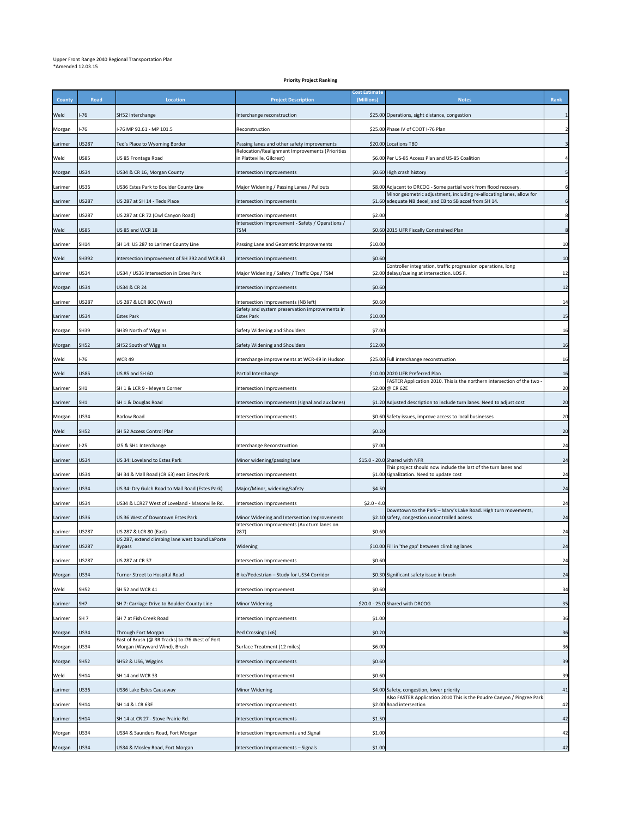## Upper Front Range 2040 Regional Transportation Plan \*Amended 12.03.15

## **Priority Project Ranking**

| County  | Road            | Location                                                                        | <b>Project Description</b>                                                  | <b>Cost Estimate</b><br>(Millions) | <b>Notes</b>                                                                                                                     | Rank             |
|---------|-----------------|---------------------------------------------------------------------------------|-----------------------------------------------------------------------------|------------------------------------|----------------------------------------------------------------------------------------------------------------------------------|------------------|
| Weld    | -76             | SH52 Interchange                                                                | Interchange reconstruction                                                  |                                    | \$25.00 Operations, sight distance, congestion                                                                                   |                  |
| Morgan  | -76             | -76 MP 92.61 - MP 101.5                                                         | Reconstruction                                                              |                                    | \$25.00 Phase IV of CDOT I-76 Plan                                                                                               |                  |
| Larimer | US287           | Ted's Place to Wyoming Border                                                   | Passing lanes and other safety improvements                                 |                                    | \$20.00 Locations TBD                                                                                                            |                  |
| Weld    | <b>JS85</b>     | JS 85 Frontage Road                                                             | Relocation/Realignment Improvements (Priorities<br>n Platteville, Gilcrest) |                                    | \$6.00 Per US-85 Access Plan and US-85 Coalition                                                                                 |                  |
| Morgan  | <b>US34</b>     | US34 & CR 16, Morgan County                                                     | Intersection Improvements                                                   |                                    | \$0.60 High crash history                                                                                                        |                  |
| .arimer | US36            | JS36 Estes Park to Boulder County Line                                          | Major Widening / Passing Lanes / Pullouts                                   |                                    | \$8.00 Adjacent to DRCOG - Some partial work from flood recovery.                                                                | 6                |
| Larimer | US287           | US 287 at SH 14 - Teds Place                                                    | Intersection Improvements                                                   |                                    | Minor geometric adjustment, including re-allocating lanes, allow for<br>\$1.60 adequate NB decel, and EB to SB accel from SH 14. | $\boldsymbol{6}$ |
| Larimer | US287           | US 287 at CR 72 (Owl Canyon Road)                                               | Intersection Improvements                                                   | \$2.00                             |                                                                                                                                  | 8                |
| Weld    | US85            | US 85 and WCR 18                                                                | Intersection Improvement - Safety / Operations /<br>TSM                     |                                    | \$0.60 2015 UFR Fiscally Constrained Plan                                                                                        | 8                |
| Larimer | SH14            | SH 14: US 287 to Larimer County Line                                            | Passing Lane and Geometric Improvements                                     | \$10.00                            |                                                                                                                                  | 10               |
| Weld    | SH392           | Intersection Improvement of SH 392 and WCR 43                                   | Intersection Improvements                                                   | \$0.60                             |                                                                                                                                  | 10               |
| Larimer | US34            | JS34 / US36 Intersection in Estes Park                                          | Major Widening / Safety / Traffic Ops / TSM                                 |                                    | Controller integration, traffic progression operations, long<br>\$2.00 delays/cueing at intersection. LOS F.                     | 12               |
| Morgan  | US34            | US34 & CR 24                                                                    | Intersection Improvements                                                   | \$0.60                             |                                                                                                                                  | 12               |
|         | US287           | US 287 & LCR 80C (West)                                                         | ntersection Improvements (NB left)                                          | \$0.60                             |                                                                                                                                  | 14               |
| Larimer |                 | <b>Estes Park</b>                                                               | Safety and system preservation improvements in                              |                                    |                                                                                                                                  |                  |
| Larimer | <b>US34</b>     |                                                                                 | <b>Estes Park</b>                                                           | \$10.00                            |                                                                                                                                  | 15               |
| Morgan  | <b>SH39</b>     | SH39 North of Wiggins                                                           | Safety Widening and Shoulders                                               | \$7.00                             |                                                                                                                                  | 16               |
| Morgan  | <b>SH52</b>     | SH52 South of Wiggins                                                           | Safety Widening and Shoulders                                               | \$12.00                            |                                                                                                                                  | 16               |
| Weld    | -76             | WCR 49                                                                          | Interchange improvements at WCR-49 in Hudson                                |                                    | \$25.00 Full interchange reconstruction                                                                                          | 16               |
| Weld    | <b>US85</b>     | US 85 and SH 60                                                                 | Partial Interchange                                                         |                                    | \$10.00 2020 UFR Preferred Plan<br>FASTER Application 2010. This is the northern intersection of the two                         | 16               |
| Larimer | SH1             | SH 1 & LCR 9 - Meyers Corner                                                    | Intersection Improvements                                                   |                                    | \$2.00 @ CR 62E                                                                                                                  | 20               |
| Larimer | SH <sub>1</sub> | SH 1 & Douglas Road                                                             | ntersection Improvements (signal and aux lanes)                             |                                    | \$1.20 Adjusted description to include turn lanes. Need to adjust cost                                                           | 20               |
| Morgan  | US34            | <b>Barlow Road</b>                                                              | ntersection Improvements                                                    |                                    | \$0.60 Safety issues, improve access to local businesses                                                                         | 20               |
| Weld    | <b>SH52</b>     | SH 52 Access Control Plan                                                       |                                                                             | \$0.20                             |                                                                                                                                  | 20               |
| Larimer | $-25$           | 125 & SH1 Interchange                                                           | Interchange Reconstruction                                                  | \$7.00                             |                                                                                                                                  | 24               |
| Larimer | US34            | US 34: Loveland to Estes Park                                                   | Minor widening/passing lane                                                 |                                    | \$15.0 - 20.0 Shared with NFR                                                                                                    | 24               |
| Larimer | US34            | SH 34 & Mall Road (CR 63) east Estes Park                                       | Intersection Improvements                                                   |                                    | This project should now include the last of the turn lanes and<br>\$1.00 signalization. Need to update cost                      | 24               |
| Larimer | US34            | US 34: Dry Gulch Road to Mall Road (Estes Park)                                 | Major/Minor, widening/safety                                                | \$4.50                             |                                                                                                                                  | 24               |
| Larimer | US34            | US34 & LCR27 West of Loveland - Masonville Rd.                                  | Intersection Improvements                                                   | $$2.0 - 4.0$                       |                                                                                                                                  | 24               |
| Larimer | US36            | US 36 West of Downtown Estes Park                                               | Minor Widening and Intersection Improvements                                |                                    | Downtown to the Park - Mary's Lake Road. High turn movements,<br>\$2.10 safety, congestion uncontrolled access                   | 24               |
| Larimer | US287           | US 287 & LCR 80 (East)                                                          | Intersection Improvements (Aux turn lanes on<br>287)                        | \$0.60                             |                                                                                                                                  | 24               |
| Larimer | US287           | US 287, extend climbing lane west bound LaPorte<br>Bypass                       | Widening                                                                    |                                    | \$10.00 Fill in 'the gap' between climbing lanes                                                                                 | 24               |
| Larimer | US287           | US 287 at CR 37                                                                 | Intersection Improvements                                                   | \$0.60                             |                                                                                                                                  | 24               |
| Morgan  | <b>US34</b>     | Turner Street to Hospital Road                                                  | Bike/Pedestrian - Study for US34 Corridor                                   |                                    | \$0.30 Significant safety issue in brush                                                                                         | 24               |
| Weld    | SH52            | SH 52 and WCR 41                                                                | Intersection Improvement                                                    | \$0.60                             |                                                                                                                                  | 34               |
| Larimer | SH7             | SH 7: Carriage Drive to Boulder County Line                                     | Minor Widening                                                              |                                    | \$20.0 - 25.0 Shared with DRCOG                                                                                                  | 35               |
| Larimer | SH <sub>7</sub> | SH 7 at Fish Creek Road                                                         | Intersection Improvements                                                   | \$1.00                             |                                                                                                                                  | 36               |
| Morgan  | <b>US34</b>     | Through Fort Morgan                                                             | Ped Crossings (x6)                                                          | \$0.20                             |                                                                                                                                  | 36               |
|         | <b>US34</b>     | East of Brush (@ RR Tracks) to I76 West of Fort<br>Morgan (Wayward Wind), Brush | Surface Treatment (12 miles)                                                | \$6.00                             |                                                                                                                                  | 36               |
| Morgan  |                 |                                                                                 |                                                                             |                                    |                                                                                                                                  |                  |
| Morgan  | <b>SH52</b>     | SH52 & US6, Wiggins                                                             | Intersection Improvements                                                   | \$0.60                             |                                                                                                                                  | 39               |
| Weld    | SH14            | SH 14 and WCR 33                                                                | Intersection Improvement                                                    | \$0.60                             |                                                                                                                                  | 39               |
| Larimer | US36            | US36 Lake Estes Causeway                                                        | Minor Widening                                                              |                                    | \$4.00 Safety, congestion, lower priority<br>Also FASTER Application 2010 This is the Poudre Canyon / Pingree Park               | 41               |
| Larimer | SH14            | SH 14 & LCR 63E                                                                 | Intersection Improvements                                                   |                                    | \$2.00 Road intersection                                                                                                         | 42               |
| Larimer | SH14            | SH 14 at CR 27 - Stove Prairie Rd.                                              | ntersection Improvements                                                    | \$1.50                             |                                                                                                                                  | 42               |
| Morgan  | US34            | US34 & Saunders Road, Fort Morgan                                               | Intersection Improvements and Signal                                        | \$1.00                             |                                                                                                                                  | 42               |
| Morgan  | <b>US34</b>     | US34 & Mosley Road, Fort Morgan                                                 | Intersection Improvements - Signals                                         | \$1.00                             |                                                                                                                                  | 42               |